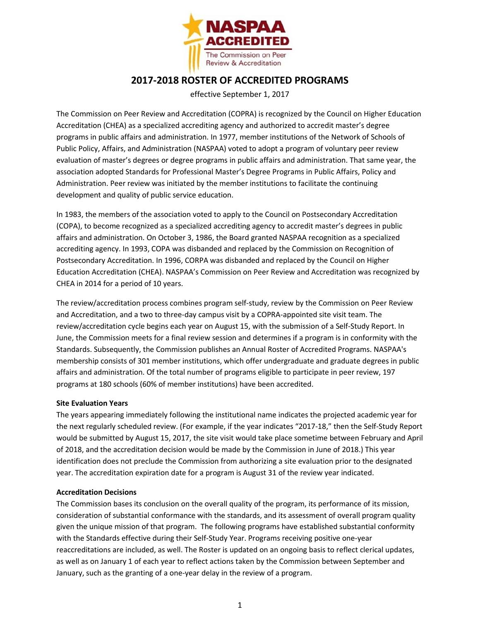

## **2017-2018 ROSTER OF ACCREDITED PROGRAMS**

effective September 1, 2017

The Commission on Peer Review and Accreditation (COPRA) is recognized by the Council on Higher Education Accreditation (CHEA) as a specialized accrediting agency and authorized to accredit master's degree programs in public affairs and administration. In 1977, member institutions of the Network of Schools of Public Policy, Affairs, and Administration (NASPAA) voted to adopt a program of voluntary peer review evaluation of master's degrees or degree programs in public affairs and administration. That same year, the association adopted Standards for Professional Master's Degree Programs in Public Affairs, Policy and Administration. Peer review was initiated by the member institutions to facilitate the continuing development and quality of public service education.

In 1983, the members of the association voted to apply to the Council on Postsecondary Accreditation (COPA), to become recognized as a specialized accrediting agency to accredit master's degrees in public affairs and administration. On October 3, 1986, the Board granted NASPAA recognition as a specialized accrediting agency. In 1993, COPA was disbanded and replaced by the Commission on Recognition of Postsecondary Accreditation. In 1996, CORPA was disbanded and replaced by the Council on Higher Education Accreditation (CHEA). NASPAA's Commission on Peer Review and Accreditation was recognized by CHEA in 2014 for a period of 10 years.

The review/accreditation process combines program self-study, review by the Commission on Peer Review and Accreditation, and a two to three-day campus visit by a COPRA-appointed site visit team. The review/accreditation cycle begins each year on August 15, with the submission of a Self-Study Report. In June, the Commission meets for a final review session and determines if a program is in conformity with the Standards. Subsequently, the Commission publishes an Annual Roster of Accredited Programs. NASPAA's membership consists of 301 member institutions, which offer undergraduate and graduate degrees in public affairs and administration. Of the total number of programs eligible to participate in peer review, 197 programs at 180 schools (60% of member institutions) have been accredited.

## **Site Evaluation Years**

The years appearing immediately following the institutional name indicates the projected academic year for the next regularly scheduled review. (For example, if the year indicates "2017-18," then the Self-Study Report would be submitted by August 15, 2017, the site visit would take place sometime between February and April of 2018, and the accreditation decision would be made by the Commission in June of 2018.) This year identification does not preclude the Commission from authorizing a site evaluation prior to the designated year. The accreditation expiration date for a program is August 31 of the review year indicated.

## **Accreditation Decisions**

The Commission bases its conclusion on the overall quality of the program, its performance of its mission, consideration of substantial conformance with the standards, and its assessment of overall program quality given the unique mission of that program. The following programs have established substantial conformity with the Standards effective during their Self-Study Year. Programs receiving positive one-year reaccreditations are included, as well. The Roster is updated on an ongoing basis to reflect clerical updates, as well as on January 1 of each year to reflect actions taken by the Commission between September and January, such as the granting of a one-year delay in the review of a program.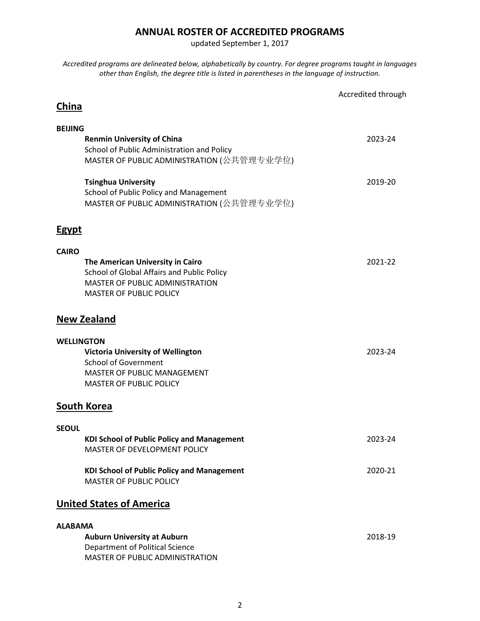## **ANNUAL ROSTER OF ACCREDITED PROGRAMS**

updated September 1, 2017

*Accredited programs are delineated below, alphabetically by country. For degree programs taught in languages other than English, the degree title is listed in parentheses in the language of instruction.*

|                                                                                      | Accredited through |
|--------------------------------------------------------------------------------------|--------------------|
| China                                                                                |                    |
| <b>BEIJING</b>                                                                       |                    |
| <b>Renmin University of China</b><br>School of Public Administration and Policy      | 2023-24            |
| MASTER OF PUBLIC ADMINISTRATION (公共管理专业学位)                                           |                    |
| <b>Tsinghua University</b>                                                           | 2019-20            |
| School of Public Policy and Management<br>MASTER OF PUBLIC ADMINISTRATION (公共管理专业学位) |                    |
| <b>Egypt</b>                                                                         |                    |
| <b>CAIRO</b>                                                                         |                    |
| The American University in Cairo<br>School of Global Affairs and Public Policy       | 2021-22            |
| MASTER OF PUBLIC ADMINISTRATION                                                      |                    |
| <b>MASTER OF PUBLIC POLICY</b>                                                       |                    |
| <b>New Zealand</b>                                                                   |                    |
| <b>WELLINGTON</b>                                                                    |                    |
| <b>Victoria University of Wellington</b><br><b>School of Government</b>              | 2023-24            |
| MASTER OF PUBLIC MANAGEMENT                                                          |                    |
| <b>MASTER OF PUBLIC POLICY</b>                                                       |                    |
| <b>South Korea</b>                                                                   |                    |
| <b>SEOUL</b>                                                                         |                    |
| <b>KDI School of Public Policy and Management</b><br>MASTER OF DEVELOPMENT POLICY    | 2023-24            |
| <b>KDI School of Public Policy and Management</b><br><b>MASTER OF PUBLIC POLICY</b>  | 2020-21            |
|                                                                                      |                    |
| <b>United States of America</b>                                                      |                    |
| <b>ALABAMA</b>                                                                       |                    |
| <b>Auburn University at Auburn</b><br><b>Department of Political Science</b>         | 2018-19            |
| MASTER OF PUBLIC ADMINISTRATION                                                      |                    |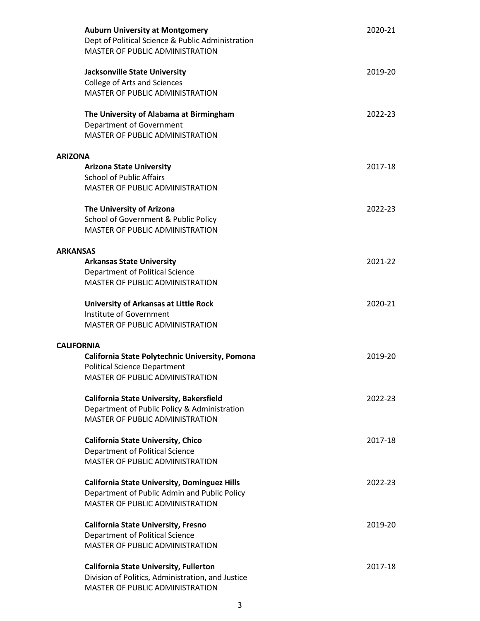| <b>Auburn University at Montgomery</b><br>Dept of Political Science & Public Administration<br>MASTER OF PUBLIC ADMINISTRATION | 2020-21 |
|--------------------------------------------------------------------------------------------------------------------------------|---------|
| <b>Jacksonville State University</b><br>College of Arts and Sciences<br><b>MASTER OF PUBLIC ADMINISTRATION</b>                 | 2019-20 |
| The University of Alabama at Birmingham<br>Department of Government<br>MASTER OF PUBLIC ADMINISTRATION                         | 2022-23 |
| <b>ARIZONA</b>                                                                                                                 |         |
| <b>Arizona State University</b>                                                                                                | 2017-18 |
| <b>School of Public Affairs</b>                                                                                                |         |
| MASTER OF PUBLIC ADMINISTRATION                                                                                                |         |
| The University of Arizona                                                                                                      | 2022-23 |
| School of Government & Public Policy                                                                                           |         |
| <b>MASTER OF PUBLIC ADMINISTRATION</b>                                                                                         |         |
| <b>ARKANSAS</b>                                                                                                                |         |
| <b>Arkansas State University</b>                                                                                               | 2021-22 |
| Department of Political Science                                                                                                |         |
| <b>MASTER OF PUBLIC ADMINISTRATION</b>                                                                                         |         |
| <b>University of Arkansas at Little Rock</b>                                                                                   | 2020-21 |
| Institute of Government                                                                                                        |         |
| MASTER OF PUBLIC ADMINISTRATION                                                                                                |         |
| <b>CALIFORNIA</b>                                                                                                              |         |
| California State Polytechnic University, Pomona                                                                                | 2019-20 |
| <b>Political Science Department</b>                                                                                            |         |
| MASTER OF PUBLIC ADMINISTRATION                                                                                                |         |
| <b>California State University, Bakersfield</b>                                                                                | 2022-23 |
| Department of Public Policy & Administration                                                                                   |         |
| MASTER OF PUBLIC ADMINISTRATION                                                                                                |         |
| <b>California State University, Chico</b>                                                                                      | 2017-18 |
| Department of Political Science                                                                                                |         |
| <b>MASTER OF PUBLIC ADMINISTRATION</b>                                                                                         |         |
| <b>California State University, Dominguez Hills</b>                                                                            | 2022-23 |
| Department of Public Admin and Public Policy                                                                                   |         |
| MASTER OF PUBLIC ADMINISTRATION                                                                                                |         |
| <b>California State University, Fresno</b>                                                                                     | 2019-20 |
| Department of Political Science                                                                                                |         |
| <b>MASTER OF PUBLIC ADMINISTRATION</b>                                                                                         |         |
| <b>California State University, Fullerton</b>                                                                                  | 2017-18 |
| Division of Politics, Administration, and Justice                                                                              |         |
| MASTER OF PUBLIC ADMINISTRATION                                                                                                |         |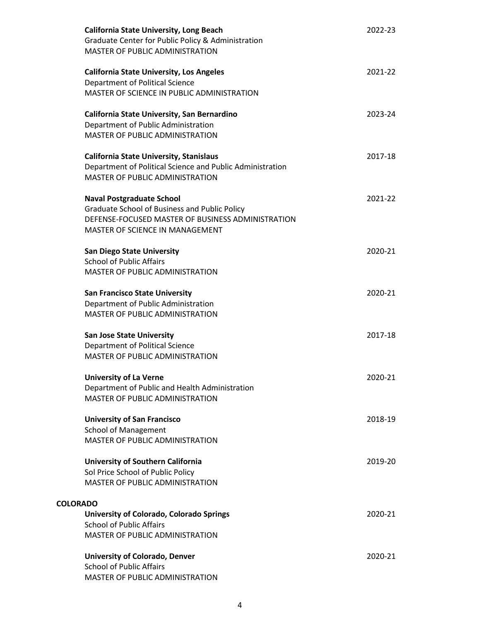| <b>California State University, Long Beach</b><br>Graduate Center for Public Policy & Administration<br>MASTER OF PUBLIC ADMINISTRATION | 2022-23 |
|-----------------------------------------------------------------------------------------------------------------------------------------|---------|
| <b>California State University, Los Angeles</b>                                                                                         | 2021-22 |
| Department of Political Science                                                                                                         |         |
| MASTER OF SCIENCE IN PUBLIC ADMINISTRATION                                                                                              |         |
| California State University, San Bernardino                                                                                             | 2023-24 |
| Department of Public Administration                                                                                                     |         |
| <b>MASTER OF PUBLIC ADMINISTRATION</b>                                                                                                  |         |
| <b>California State University, Stanislaus</b>                                                                                          | 2017-18 |
| Department of Political Science and Public Administration                                                                               |         |
| <b>MASTER OF PUBLIC ADMINISTRATION</b>                                                                                                  |         |
| <b>Naval Postgraduate School</b>                                                                                                        | 2021-22 |
| Graduate School of Business and Public Policy                                                                                           |         |
| DEFENSE-FOCUSED MASTER OF BUSINESS ADMINISTRATION                                                                                       |         |
| MASTER OF SCIENCE IN MANAGEMENT                                                                                                         |         |
| <b>San Diego State University</b>                                                                                                       | 2020-21 |
| <b>School of Public Affairs</b>                                                                                                         |         |
| MASTER OF PUBLIC ADMINISTRATION                                                                                                         |         |
| <b>San Francisco State University</b>                                                                                                   | 2020-21 |
| Department of Public Administration                                                                                                     |         |
| MASTER OF PUBLIC ADMINISTRATION                                                                                                         |         |
| <b>San Jose State University</b>                                                                                                        | 2017-18 |
| Department of Political Science                                                                                                         |         |
| MASTER OF PUBLIC ADMINISTRATION                                                                                                         |         |
| <b>University of La Verne</b>                                                                                                           | 2020-21 |
| Department of Public and Health Administration                                                                                          |         |
| MASTER OF PUBLIC ADMINISTRATION                                                                                                         |         |
| <b>University of San Francisco</b>                                                                                                      | 2018-19 |
| <b>School of Management</b>                                                                                                             |         |
| MASTER OF PUBLIC ADMINISTRATION                                                                                                         |         |
| <b>University of Southern California</b>                                                                                                | 2019-20 |
| Sol Price School of Public Policy                                                                                                       |         |
| <b>MASTER OF PUBLIC ADMINISTRATION</b>                                                                                                  |         |
| <b>COLORADO</b>                                                                                                                         |         |
| University of Colorado, Colorado Springs                                                                                                | 2020-21 |
| <b>School of Public Affairs</b>                                                                                                         |         |
| MASTER OF PUBLIC ADMINISTRATION                                                                                                         |         |
| <b>University of Colorado, Denver</b>                                                                                                   | 2020-21 |
| <b>School of Public Affairs</b>                                                                                                         |         |
| MASTER OF PUBLIC ADMINISTRATION                                                                                                         |         |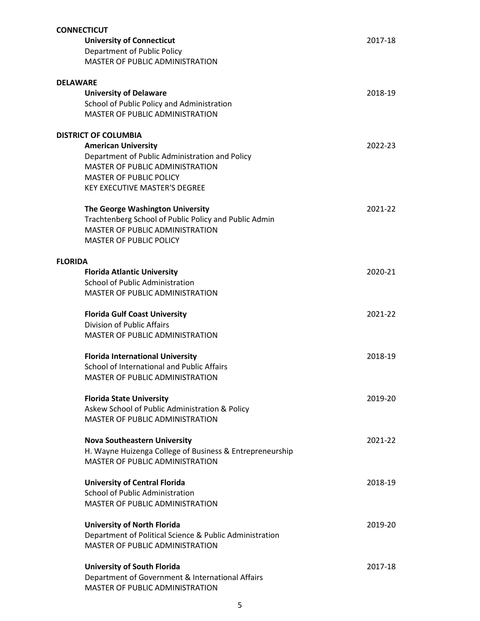| <b>CONNECTICUT</b>          |                                                          |         |
|-----------------------------|----------------------------------------------------------|---------|
|                             | <b>University of Connecticut</b>                         | 2017-18 |
|                             | <b>Department of Public Policy</b>                       |         |
|                             | MASTER OF PUBLIC ADMINISTRATION                          |         |
|                             |                                                          |         |
| <b>DELAWARE</b>             |                                                          |         |
|                             | <b>University of Delaware</b>                            | 2018-19 |
|                             | School of Public Policy and Administration               |         |
|                             | <b>MASTER OF PUBLIC ADMINISTRATION</b>                   |         |
| <b>DISTRICT OF COLUMBIA</b> |                                                          |         |
|                             | <b>American University</b>                               | 2022-23 |
|                             | Department of Public Administration and Policy           |         |
|                             | MASTER OF PUBLIC ADMINISTRATION                          |         |
|                             | <b>MASTER OF PUBLIC POLICY</b>                           |         |
|                             | <b>KEY EXECUTIVE MASTER'S DEGREE</b>                     |         |
|                             |                                                          |         |
|                             | The George Washington University                         | 2021-22 |
|                             | Trachtenberg School of Public Policy and Public Admin    |         |
|                             | <b>MASTER OF PUBLIC ADMINISTRATION</b>                   |         |
|                             | <b>MASTER OF PUBLIC POLICY</b>                           |         |
|                             |                                                          |         |
| <b>FLORIDA</b>              |                                                          |         |
|                             | <b>Florida Atlantic University</b>                       | 2020-21 |
|                             | <b>School of Public Administration</b>                   |         |
|                             | MASTER OF PUBLIC ADMINISTRATION                          |         |
|                             |                                                          |         |
|                             | <b>Florida Gulf Coast University</b>                     | 2021-22 |
|                             | <b>Division of Public Affairs</b>                        |         |
|                             | <b>MASTER OF PUBLIC ADMINISTRATION</b>                   |         |
|                             |                                                          |         |
|                             | <b>Florida International University</b>                  | 2018-19 |
|                             | School of International and Public Affairs               |         |
|                             | MASTER OF PUBLIC ADMINISTRATION                          |         |
|                             | <b>Florida State University</b>                          | 2019-20 |
|                             | Askew School of Public Administration & Policy           |         |
|                             | <b>MASTER OF PUBLIC ADMINISTRATION</b>                   |         |
|                             |                                                          |         |
|                             | <b>Nova Southeastern University</b>                      | 2021-22 |
|                             | H. Wayne Huizenga College of Business & Entrepreneurship |         |
|                             | MASTER OF PUBLIC ADMINISTRATION                          |         |
|                             |                                                          |         |
|                             | <b>University of Central Florida</b>                     | 2018-19 |
|                             | <b>School of Public Administration</b>                   |         |
|                             | MASTER OF PUBLIC ADMINISTRATION                          |         |
|                             |                                                          |         |
|                             | <b>University of North Florida</b>                       | 2019-20 |
|                             | Department of Political Science & Public Administration  |         |
|                             | <b>MASTER OF PUBLIC ADMINISTRATION</b>                   |         |
|                             |                                                          |         |
|                             | <b>University of South Florida</b>                       | 2017-18 |
|                             | Department of Government & International Affairs         |         |
|                             | MASTER OF PUBLIC ADMINISTRATION                          |         |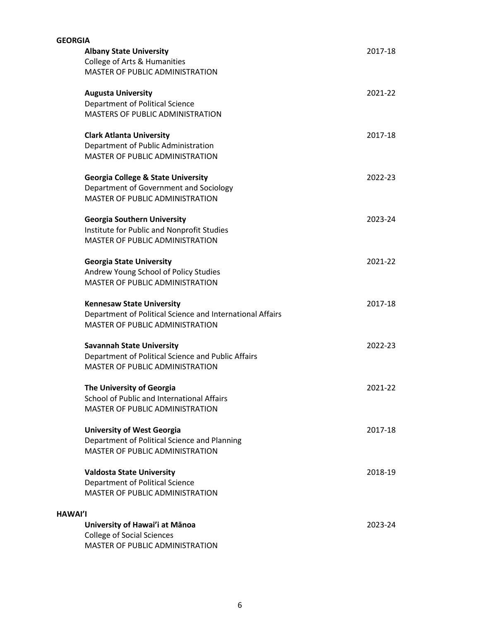| <b>GEORGIA</b> |                                                           |         |
|----------------|-----------------------------------------------------------|---------|
|                | <b>Albany State University</b>                            | 2017-18 |
|                | College of Arts & Humanities                              |         |
|                | MASTER OF PUBLIC ADMINISTRATION                           |         |
|                | <b>Augusta University</b>                                 | 2021-22 |
|                | Department of Political Science                           |         |
|                | MASTERS OF PUBLIC ADMINISTRATION                          |         |
|                | <b>Clark Atlanta University</b>                           | 2017-18 |
|                | Department of Public Administration                       |         |
|                | MASTER OF PUBLIC ADMINISTRATION                           |         |
|                | <b>Georgia College &amp; State University</b>             | 2022-23 |
|                | Department of Government and Sociology                    |         |
|                | <b>MASTER OF PUBLIC ADMINISTRATION</b>                    |         |
|                | <b>Georgia Southern University</b>                        | 2023-24 |
|                | Institute for Public and Nonprofit Studies                |         |
|                | MASTER OF PUBLIC ADMINISTRATION                           |         |
|                | <b>Georgia State University</b>                           | 2021-22 |
|                | Andrew Young School of Policy Studies                     |         |
|                | <b>MASTER OF PUBLIC ADMINISTRATION</b>                    |         |
|                | <b>Kennesaw State University</b>                          | 2017-18 |
|                | Department of Political Science and International Affairs |         |
|                | MASTER OF PUBLIC ADMINISTRATION                           |         |
|                | <b>Savannah State University</b>                          | 2022-23 |
|                | Department of Political Science and Public Affairs        |         |
|                | MASTER OF PUBLIC ADMINISTRATION                           |         |
|                | The University of Georgia                                 | 2021-22 |
|                | School of Public and International Affairs                |         |
|                | MASTER OF PUBLIC ADMINISTRATION                           |         |
|                | <b>University of West Georgia</b>                         | 2017-18 |
|                | Department of Political Science and Planning              |         |
|                | <b>MASTER OF PUBLIC ADMINISTRATION</b>                    |         |
|                | <b>Valdosta State University</b>                          | 2018-19 |
|                | Department of Political Science                           |         |
|                | <b>MASTER OF PUBLIC ADMINISTRATION</b>                    |         |
| <b>HAWAI'I</b> |                                                           |         |
|                | University of Hawai'i at Mānoa                            | 2023-24 |
|                | <b>College of Social Sciences</b>                         |         |
|                | MASTER OF PUBLIC ADMINISTRATION                           |         |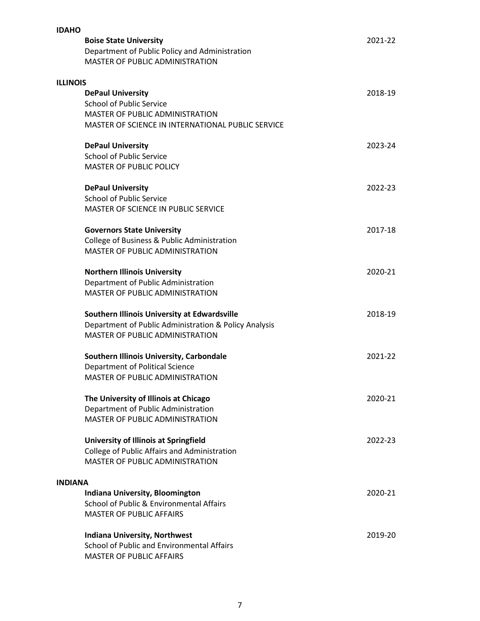| <b>IDAHO</b>    |                                                       |         |
|-----------------|-------------------------------------------------------|---------|
|                 | <b>Boise State University</b>                         | 2021-22 |
|                 | Department of Public Policy and Administration        |         |
|                 | MASTER OF PUBLIC ADMINISTRATION                       |         |
| <b>ILLINOIS</b> |                                                       |         |
|                 | <b>DePaul University</b>                              | 2018-19 |
|                 | <b>School of Public Service</b>                       |         |
|                 | <b>MASTER OF PUBLIC ADMINISTRATION</b>                |         |
|                 | MASTER OF SCIENCE IN INTERNATIONAL PUBLIC SERVICE     |         |
|                 | <b>DePaul University</b>                              | 2023-24 |
|                 | <b>School of Public Service</b>                       |         |
|                 | <b>MASTER OF PUBLIC POLICY</b>                        |         |
|                 | <b>DePaul University</b>                              | 2022-23 |
|                 | <b>School of Public Service</b>                       |         |
|                 | MASTER OF SCIENCE IN PUBLIC SERVICE                   |         |
|                 | <b>Governors State University</b>                     | 2017-18 |
|                 | College of Business & Public Administration           |         |
|                 | <b>MASTER OF PUBLIC ADMINISTRATION</b>                |         |
|                 | <b>Northern Illinois University</b>                   | 2020-21 |
|                 | Department of Public Administration                   |         |
|                 | MASTER OF PUBLIC ADMINISTRATION                       |         |
|                 | Southern Illinois University at Edwardsville          | 2018-19 |
|                 | Department of Public Administration & Policy Analysis |         |
|                 | <b>MASTER OF PUBLIC ADMINISTRATION</b>                |         |
|                 | Southern Illinois University, Carbondale              | 2021-22 |
|                 | Department of Political Science                       |         |
|                 | MASTER OF PUBLIC ADMINISTRATION                       |         |
|                 | The University of Illinois at Chicago                 | 2020-21 |
|                 | Department of Public Administration                   |         |
|                 | MASTER OF PUBLIC ADMINISTRATION                       |         |
|                 | <b>University of Illinois at Springfield</b>          | 2022-23 |
|                 | College of Public Affairs and Administration          |         |
|                 | MASTER OF PUBLIC ADMINISTRATION                       |         |
| <b>INDIANA</b>  |                                                       |         |
|                 | Indiana University, Bloomington                       | 2020-21 |
|                 | School of Public & Environmental Affairs              |         |
|                 | <b>MASTER OF PUBLIC AFFAIRS</b>                       |         |
|                 | <b>Indiana University, Northwest</b>                  | 2019-20 |
|                 | School of Public and Environmental Affairs            |         |
|                 | <b>MASTER OF PUBLIC AFFAIRS</b>                       |         |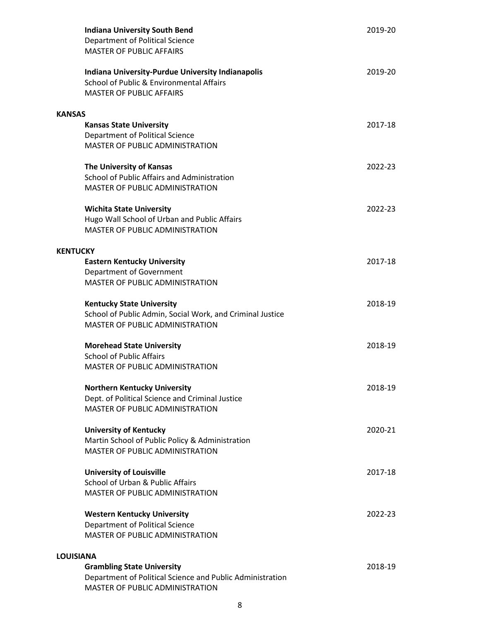| <b>Indiana University South Bend</b><br>Department of Political Science<br><b>MASTER OF PUBLIC AFFAIRS</b>                              | 2019-20 |
|-----------------------------------------------------------------------------------------------------------------------------------------|---------|
| <b>Indiana University-Purdue University Indianapolis</b><br>School of Public & Environmental Affairs<br><b>MASTER OF PUBLIC AFFAIRS</b> | 2019-20 |
| <b>KANSAS</b>                                                                                                                           |         |
| <b>Kansas State University</b><br>Department of Political Science<br>MASTER OF PUBLIC ADMINISTRATION                                    | 2017-18 |
| The University of Kansas<br>School of Public Affairs and Administration<br>MASTER OF PUBLIC ADMINISTRATION                              | 2022-23 |
| <b>Wichita State University</b><br>Hugo Wall School of Urban and Public Affairs<br>MASTER OF PUBLIC ADMINISTRATION                      | 2022-23 |
| <b>KENTUCKY</b>                                                                                                                         |         |
| <b>Eastern Kentucky University</b><br>Department of Government<br>MASTER OF PUBLIC ADMINISTRATION                                       | 2017-18 |
| <b>Kentucky State University</b><br>School of Public Admin, Social Work, and Criminal Justice<br>MASTER OF PUBLIC ADMINISTRATION        | 2018-19 |
| <b>Morehead State University</b>                                                                                                        | 2018-19 |
| <b>School of Public Affairs</b>                                                                                                         |         |
| MASTER OF PUBLIC ADMINISTRATION                                                                                                         |         |
| <b>Northern Kentucky University</b><br>Dept. of Political Science and Criminal Justice<br><b>MASTER OF PUBLIC ADMINISTRATION</b>        | 2018-19 |
| <b>University of Kentucky</b><br>Martin School of Public Policy & Administration<br><b>MASTER OF PUBLIC ADMINISTRATION</b>              | 2020-21 |
| <b>University of Louisville</b><br>School of Urban & Public Affairs<br><b>MASTER OF PUBLIC ADMINISTRATION</b>                           | 2017-18 |
| <b>Western Kentucky University</b><br>Department of Political Science<br>MASTER OF PUBLIC ADMINISTRATION                                | 2022-23 |
| <b>LOUISIANA</b>                                                                                                                        |         |
| <b>Grambling State University</b><br>Department of Political Science and Public Administration<br>MASTER OF PUBLIC ADMINISTRATION       | 2018-19 |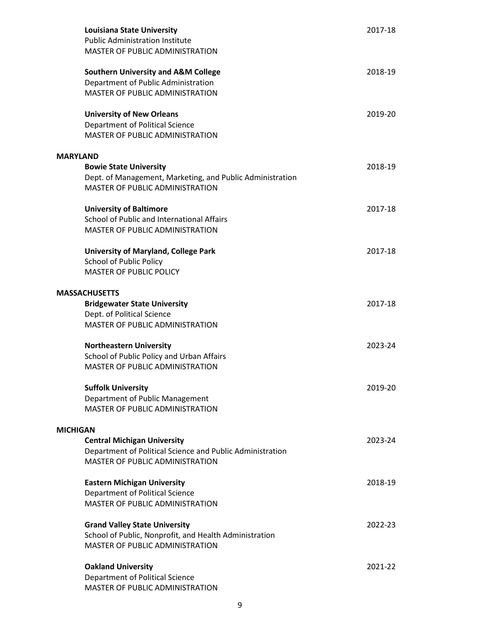| <b>Louisiana State University</b><br><b>Public Administration Institute</b><br>MASTER OF PUBLIC ADMINISTRATION                            | 2017-18 |
|-------------------------------------------------------------------------------------------------------------------------------------------|---------|
| <b>Southern University and A&amp;M College</b><br>Department of Public Administration<br>MASTER OF PUBLIC ADMINISTRATION                  | 2018-19 |
| <b>University of New Orleans</b><br>Department of Political Science<br>MASTER OF PUBLIC ADMINISTRATION                                    | 2019-20 |
| <b>MARYLAND</b>                                                                                                                           |         |
| <b>Bowie State University</b><br>Dept. of Management, Marketing, and Public Administration<br>MASTER OF PUBLIC ADMINISTRATION             | 2018-19 |
| <b>University of Baltimore</b><br>School of Public and International Affairs<br><b>MASTER OF PUBLIC ADMINISTRATION</b>                    | 2017-18 |
| <b>University of Maryland, College Park</b><br><b>School of Public Policy</b><br><b>MASTER OF PUBLIC POLICY</b>                           | 2017-18 |
|                                                                                                                                           |         |
| <b>MASSACHUSETTS</b><br><b>Bridgewater State University</b><br>Dept. of Political Science<br>MASTER OF PUBLIC ADMINISTRATION              | 2017-18 |
| <b>Northeastern University</b><br>School of Public Policy and Urban Affairs<br>MASTER OF PUBLIC ADMINISTRATION                            | 2023-24 |
| <b>Suffolk University</b><br>Department of Public Management<br>MASTER OF PUBLIC ADMINISTRATION                                           | 2019-20 |
| <b>MICHIGAN</b>                                                                                                                           |         |
| <b>Central Michigan University</b><br>Department of Political Science and Public Administration<br><b>MASTER OF PUBLIC ADMINISTRATION</b> | 2023-24 |
| <b>Eastern Michigan University</b><br>Department of Political Science<br><b>MASTER OF PUBLIC ADMINISTRATION</b>                           | 2018-19 |
| <b>Grand Valley State University</b><br>School of Public, Nonprofit, and Health Administration<br><b>MASTER OF PUBLIC ADMINISTRATION</b>  | 2022-23 |
| <b>Oakland University</b><br>Department of Political Science<br>MASTER OF PUBLIC ADMINISTRATION                                           | 2021-22 |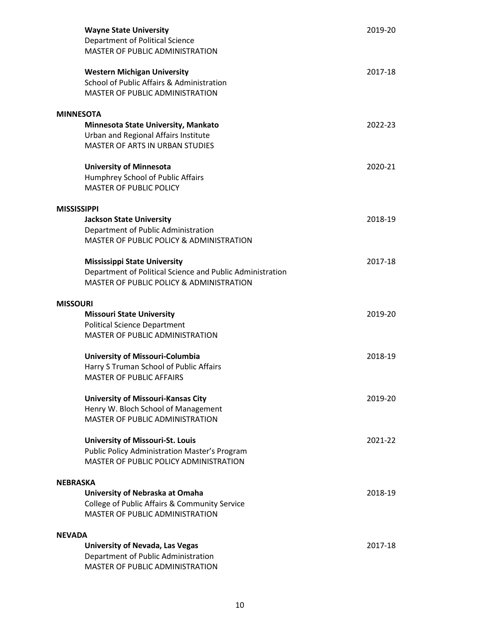| <b>Wayne State University</b><br>Department of Political Science<br>MASTER OF PUBLIC ADMINISTRATION                                                     | 2019-20 |  |
|---------------------------------------------------------------------------------------------------------------------------------------------------------|---------|--|
| <b>Western Michigan University</b><br>School of Public Affairs & Administration<br><b>MASTER OF PUBLIC ADMINISTRATION</b>                               | 2017-18 |  |
| <b>MINNESOTA</b>                                                                                                                                        |         |  |
| Minnesota State University, Mankato<br>Urban and Regional Affairs Institute                                                                             | 2022-23 |  |
| <b>MASTER OF ARTS IN URBAN STUDIES</b>                                                                                                                  |         |  |
| <b>University of Minnesota</b><br>Humphrey School of Public Affairs<br><b>MASTER OF PUBLIC POLICY</b>                                                   | 2020-21 |  |
| <b>MISSISSIPPI</b>                                                                                                                                      |         |  |
| <b>Jackson State University</b><br>Department of Public Administration<br>MASTER OF PUBLIC POLICY & ADMINISTRATION                                      | 2018-19 |  |
| <b>Mississippi State University</b><br>Department of Political Science and Public Administration<br><b>MASTER OF PUBLIC POLICY &amp; ADMINISTRATION</b> | 2017-18 |  |
| <b>MISSOURI</b>                                                                                                                                         |         |  |
| <b>Missouri State University</b><br><b>Political Science Department</b><br><b>MASTER OF PUBLIC ADMINISTRATION</b>                                       | 2019-20 |  |
| University of Missouri-Columbia<br>Harry S Truman School of Public Affairs<br>MASTER OF PUBLIC AFFAIRS                                                  | 2018-19 |  |
| <b>University of Missouri-Kansas City</b><br>Henry W. Bloch School of Management<br><b>MASTER OF PUBLIC ADMINISTRATION</b>                              | 2019-20 |  |
| <b>University of Missouri-St. Louis</b><br><b>Public Policy Administration Master's Program</b><br>MASTER OF PUBLIC POLICY ADMINISTRATION               | 2021-22 |  |
| <b>NEBRASKA</b>                                                                                                                                         |         |  |
| University of Nebraska at Omaha<br>College of Public Affairs & Community Service<br>MASTER OF PUBLIC ADMINISTRATION                                     | 2018-19 |  |
| <b>NEVADA</b>                                                                                                                                           |         |  |
| University of Nevada, Las Vegas<br>Department of Public Administration<br>MASTER OF PUBLIC ADMINISTRATION                                               | 2017-18 |  |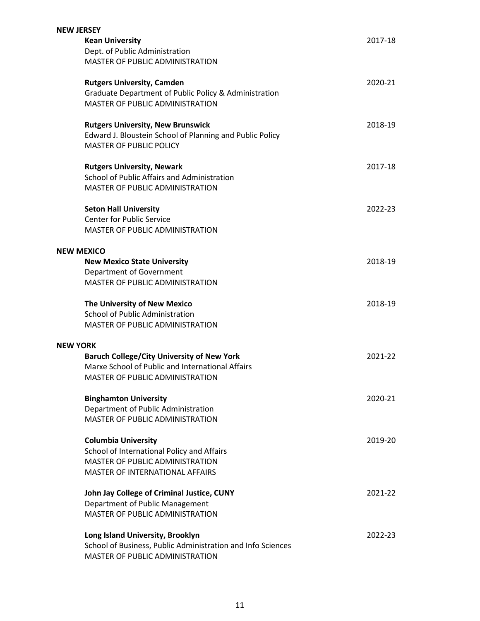| <b>NEW JERSEY</b> |                                                             |         |
|-------------------|-------------------------------------------------------------|---------|
|                   | <b>Kean University</b>                                      | 2017-18 |
|                   | Dept. of Public Administration                              |         |
|                   | MASTER OF PUBLIC ADMINISTRATION                             |         |
|                   | <b>Rutgers University, Camden</b>                           | 2020-21 |
|                   | Graduate Department of Public Policy & Administration       |         |
|                   | <b>MASTER OF PUBLIC ADMINISTRATION</b>                      |         |
|                   | <b>Rutgers University, New Brunswick</b>                    | 2018-19 |
|                   | Edward J. Bloustein School of Planning and Public Policy    |         |
|                   | <b>MASTER OF PUBLIC POLICY</b>                              |         |
|                   | <b>Rutgers University, Newark</b>                           | 2017-18 |
|                   | School of Public Affairs and Administration                 |         |
|                   | MASTER OF PUBLIC ADMINISTRATION                             |         |
|                   | <b>Seton Hall University</b>                                | 2022-23 |
|                   | <b>Center for Public Service</b>                            |         |
|                   | MASTER OF PUBLIC ADMINISTRATION                             |         |
| <b>NEW MEXICO</b> |                                                             |         |
|                   | <b>New Mexico State University</b>                          | 2018-19 |
|                   | Department of Government                                    |         |
|                   | MASTER OF PUBLIC ADMINISTRATION                             |         |
|                   | The University of New Mexico                                | 2018-19 |
|                   | <b>School of Public Administration</b>                      |         |
|                   | MASTER OF PUBLIC ADMINISTRATION                             |         |
| <b>NEW YORK</b>   |                                                             |         |
|                   | <b>Baruch College/City University of New York</b>           | 2021-22 |
|                   | Marxe School of Public and International Affairs            |         |
|                   | MASTER OF PUBLIC ADMINISTRATION                             |         |
|                   | <b>Binghamton University</b>                                | 2020-21 |
|                   | Department of Public Administration                         |         |
|                   | <b>MASTER OF PUBLIC ADMINISTRATION</b>                      |         |
|                   | <b>Columbia University</b>                                  | 2019-20 |
|                   | School of International Policy and Affairs                  |         |
|                   | <b>MASTER OF PUBLIC ADMINISTRATION</b>                      |         |
|                   | <b>MASTER OF INTERNATIONAL AFFAIRS</b>                      |         |
|                   | John Jay College of Criminal Justice, CUNY                  | 2021-22 |
|                   | Department of Public Management                             |         |
|                   | MASTER OF PUBLIC ADMINISTRATION                             |         |
|                   | Long Island University, Brooklyn                            | 2022-23 |
|                   | School of Business, Public Administration and Info Sciences |         |
|                   | MASTER OF PUBLIC ADMINISTRATION                             |         |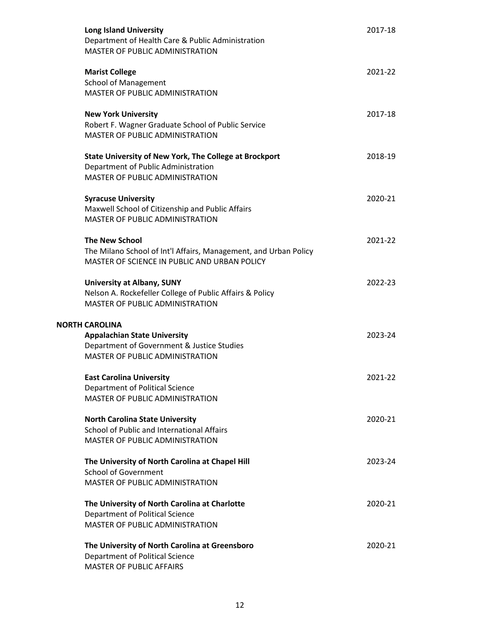| <b>Long Island University</b><br>Department of Health Care & Public Administration<br>MASTER OF PUBLIC ADMINISTRATION                          | 2017-18 |
|------------------------------------------------------------------------------------------------------------------------------------------------|---------|
| <b>Marist College</b><br><b>School of Management</b><br>MASTER OF PUBLIC ADMINISTRATION                                                        | 2021-22 |
| <b>New York University</b><br>Robert F. Wagner Graduate School of Public Service<br>MASTER OF PUBLIC ADMINISTRATION                            | 2017-18 |
| <b>State University of New York, The College at Brockport</b><br>Department of Public Administration<br><b>MASTER OF PUBLIC ADMINISTRATION</b> | 2018-19 |
| <b>Syracuse University</b><br>Maxwell School of Citizenship and Public Affairs<br>MASTER OF PUBLIC ADMINISTRATION                              | 2020-21 |
| <b>The New School</b><br>The Milano School of Int'l Affairs, Management, and Urban Policy<br>MASTER OF SCIENCE IN PUBLIC AND URBAN POLICY      | 2021-22 |
| <b>University at Albany, SUNY</b><br>Nelson A. Rockefeller College of Public Affairs & Policy<br><b>MASTER OF PUBLIC ADMINISTRATION</b>        | 2022-23 |
| <b>NORTH CAROLINA</b><br><b>Appalachian State University</b><br>Department of Government & Justice Studies<br>MASTER OF PUBLIC ADMINISTRATION  | 2023-24 |
| <b>East Carolina University</b><br>Department of Political Science<br>MASTER OF PUBLIC ADMINISTRATION                                          | 2021-22 |
| <b>North Carolina State University</b><br>School of Public and International Affairs<br><b>MASTER OF PUBLIC ADMINISTRATION</b>                 | 2020-21 |
| The University of North Carolina at Chapel Hill<br><b>School of Government</b><br>MASTER OF PUBLIC ADMINISTRATION                              | 2023-24 |
| The University of North Carolina at Charlotte<br>Department of Political Science<br>MASTER OF PUBLIC ADMINISTRATION                            | 2020-21 |
| The University of North Carolina at Greensboro<br>Department of Political Science<br><b>MASTER OF PUBLIC AFFAIRS</b>                           | 2020-21 |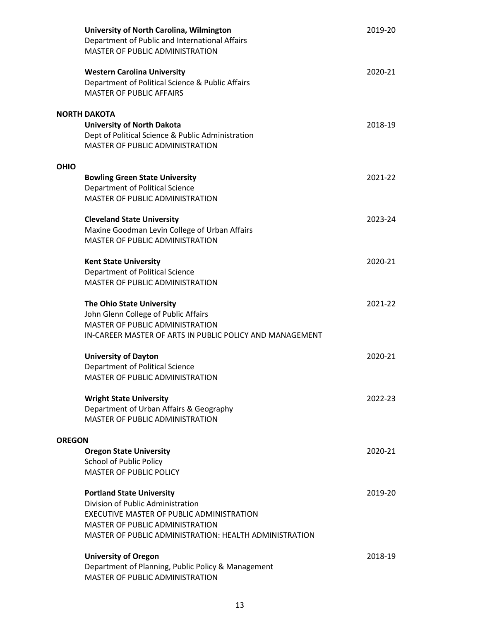|               | University of North Carolina, Wilmington<br>Department of Public and International Affairs<br>MASTER OF PUBLIC ADMINISTRATION                                                                                          | 2019-20 |
|---------------|------------------------------------------------------------------------------------------------------------------------------------------------------------------------------------------------------------------------|---------|
|               | <b>Western Carolina University</b><br>Department of Political Science & Public Affairs<br><b>MASTER OF PUBLIC AFFAIRS</b>                                                                                              | 2020-21 |
|               | <b>NORTH DAKOTA</b><br><b>University of North Dakota</b><br>Dept of Political Science & Public Administration<br>MASTER OF PUBLIC ADMINISTRATION                                                                       | 2018-19 |
| <b>OHIO</b>   | <b>Bowling Green State University</b><br>Department of Political Science<br><b>MASTER OF PUBLIC ADMINISTRATION</b>                                                                                                     | 2021-22 |
|               | <b>Cleveland State University</b><br>Maxine Goodman Levin College of Urban Affairs<br>MASTER OF PUBLIC ADMINISTRATION                                                                                                  | 2023-24 |
|               | <b>Kent State University</b><br>Department of Political Science<br>MASTER OF PUBLIC ADMINISTRATION                                                                                                                     | 2020-21 |
|               | The Ohio State University<br>John Glenn College of Public Affairs<br><b>MASTER OF PUBLIC ADMINISTRATION</b><br>IN-CAREER MASTER OF ARTS IN PUBLIC POLICY AND MANAGEMENT                                                | 2021-22 |
|               | <b>University of Dayton</b><br>Department of Political Science<br><b>MASTER OF PUBLIC ADMINISTRATION</b>                                                                                                               | 2020-21 |
|               | <b>Wright State University</b><br>Department of Urban Affairs & Geography<br>MASTER OF PUBLIC ADMINISTRATION                                                                                                           | 2022-23 |
| <b>OREGON</b> | <b>Oregon State University</b><br><b>School of Public Policy</b><br><b>MASTER OF PUBLIC POLICY</b>                                                                                                                     | 2020-21 |
|               | <b>Portland State University</b><br>Division of Public Administration<br>EXECUTIVE MASTER OF PUBLIC ADMINISTRATION<br><b>MASTER OF PUBLIC ADMINISTRATION</b><br>MASTER OF PUBLIC ADMINISTRATION: HEALTH ADMINISTRATION | 2019-20 |
|               | <b>University of Oregon</b><br>Department of Planning, Public Policy & Management<br><b>MASTER OF PUBLIC ADMINISTRATION</b>                                                                                            | 2018-19 |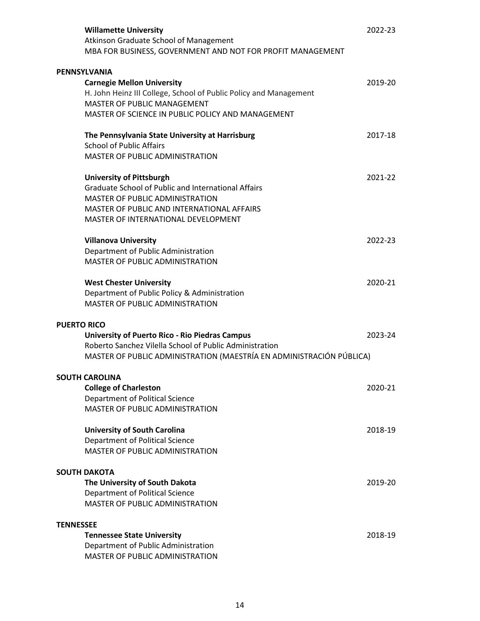| <b>Willamette University</b><br>Atkinson Graduate School of Management<br>MBA FOR BUSINESS, GOVERNMENT AND NOT FOR PROFIT MANAGEMENT                                                                                         | 2022-23 |
|------------------------------------------------------------------------------------------------------------------------------------------------------------------------------------------------------------------------------|---------|
| <b>PENNSYLVANIA</b><br><b>Carnegie Mellon University</b><br>H. John Heinz III College, School of Public Policy and Management<br><b>MASTER OF PUBLIC MANAGEMENT</b><br>MASTER OF SCIENCE IN PUBLIC POLICY AND MANAGEMENT     | 2019-20 |
| The Pennsylvania State University at Harrisburg<br><b>School of Public Affairs</b><br><b>MASTER OF PUBLIC ADMINISTRATION</b>                                                                                                 | 2017-18 |
| <b>University of Pittsburgh</b><br><b>Graduate School of Public and International Affairs</b><br><b>MASTER OF PUBLIC ADMINISTRATION</b><br>MASTER OF PUBLIC AND INTERNATIONAL AFFAIRS<br>MASTER OF INTERNATIONAL DEVELOPMENT | 2021-22 |
| <b>Villanova University</b><br>Department of Public Administration<br><b>MASTER OF PUBLIC ADMINISTRATION</b>                                                                                                                 | 2022-23 |
| <b>West Chester University</b><br>Department of Public Policy & Administration<br><b>MASTER OF PUBLIC ADMINISTRATION</b>                                                                                                     | 2020-21 |
| <b>PUERTO RICO</b><br><b>University of Puerto Rico - Rio Piedras Campus</b><br>Roberto Sanchez Vilella School of Public Administration<br>MASTER OF PUBLIC ADMINISTRATION (MAESTRÍA EN ADMINISTRACIÓN PÚBLICA)               | 2023-24 |
| <b>SOUTH CAROLINA</b><br><b>College of Charleston</b><br>Department of Political Science<br>MASTER OF PUBLIC ADMINISTRATION                                                                                                  | 2020-21 |
| <b>University of South Carolina</b><br>Department of Political Science<br>MASTER OF PUBLIC ADMINISTRATION                                                                                                                    | 2018-19 |
| <b>SOUTH DAKOTA</b>                                                                                                                                                                                                          |         |
| The University of South Dakota<br>Department of Political Science<br>MASTER OF PUBLIC ADMINISTRATION                                                                                                                         | 2019-20 |
| <b>TENNESSEE</b>                                                                                                                                                                                                             |         |
| <b>Tennessee State University</b><br>Department of Public Administration<br>MASTER OF PUBLIC ADMINISTRATION                                                                                                                  | 2018-19 |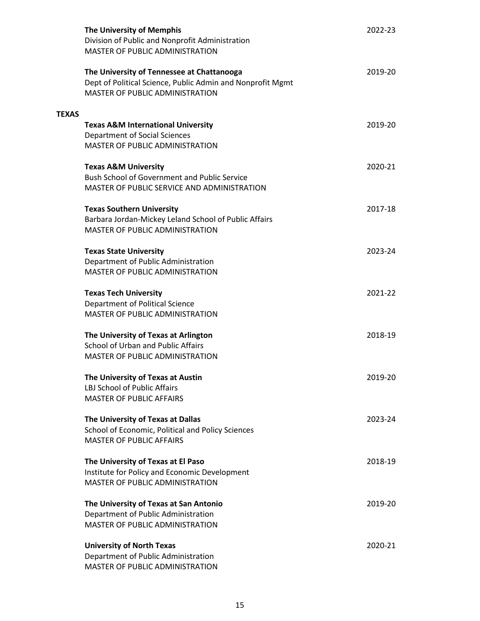|              | <b>The University of Memphis</b><br>Division of Public and Nonprofit Administration<br>MASTER OF PUBLIC ADMINISTRATION                             | 2022-23 |
|--------------|----------------------------------------------------------------------------------------------------------------------------------------------------|---------|
|              | The University of Tennessee at Chattanooga<br>Dept of Political Science, Public Admin and Nonprofit Mgmt<br><b>MASTER OF PUBLIC ADMINISTRATION</b> | 2019-20 |
| <b>TEXAS</b> |                                                                                                                                                    |         |
|              | <b>Texas A&amp;M International University</b>                                                                                                      | 2019-20 |
|              | Department of Social Sciences<br>MASTER OF PUBLIC ADMINISTRATION                                                                                   |         |
|              |                                                                                                                                                    |         |
|              | <b>Texas A&amp;M University</b>                                                                                                                    | 2020-21 |
|              | <b>Bush School of Government and Public Service</b>                                                                                                |         |
|              | MASTER OF PUBLIC SERVICE AND ADMINISTRATION                                                                                                        |         |
|              | <b>Texas Southern University</b>                                                                                                                   | 2017-18 |
|              | Barbara Jordan-Mickey Leland School of Public Affairs                                                                                              |         |
|              | MASTER OF PUBLIC ADMINISTRATION                                                                                                                    |         |
|              | <b>Texas State University</b>                                                                                                                      | 2023-24 |
|              | Department of Public Administration                                                                                                                |         |
|              | MASTER OF PUBLIC ADMINISTRATION                                                                                                                    |         |
|              | <b>Texas Tech University</b>                                                                                                                       | 2021-22 |
|              | Department of Political Science                                                                                                                    |         |
|              | MASTER OF PUBLIC ADMINISTRATION                                                                                                                    |         |
|              | The University of Texas at Arlington                                                                                                               | 2018-19 |
|              | School of Urban and Public Affairs                                                                                                                 |         |
|              | <b>MASTER OF PUBLIC ADMINISTRATION</b>                                                                                                             |         |
|              | The University of Texas at Austin                                                                                                                  | 2019-20 |
|              | LBJ School of Public Affairs                                                                                                                       |         |
|              | <b>MASTER OF PUBLIC AFFAIRS</b>                                                                                                                    |         |
|              | The University of Texas at Dallas                                                                                                                  | 2023-24 |
|              | School of Economic, Political and Policy Sciences                                                                                                  |         |
|              | <b>MASTER OF PUBLIC AFFAIRS</b>                                                                                                                    |         |
|              | The University of Texas at El Paso                                                                                                                 | 2018-19 |
|              | Institute for Policy and Economic Development                                                                                                      |         |
|              | MASTER OF PUBLIC ADMINISTRATION                                                                                                                    |         |
|              | The University of Texas at San Antonio                                                                                                             | 2019-20 |
|              | Department of Public Administration                                                                                                                |         |
|              | MASTER OF PUBLIC ADMINISTRATION                                                                                                                    |         |
|              | <b>University of North Texas</b>                                                                                                                   | 2020-21 |
|              | Department of Public Administration                                                                                                                |         |
|              | MASTER OF PUBLIC ADMINISTRATION                                                                                                                    |         |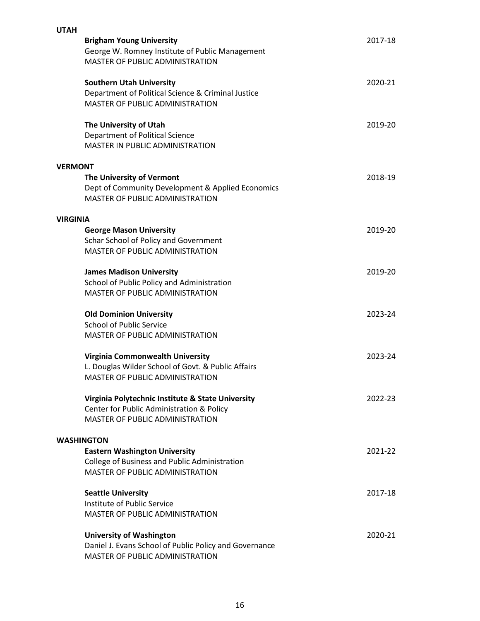| <b>UTAH</b>     |                                                        |         |
|-----------------|--------------------------------------------------------|---------|
|                 | <b>Brigham Young University</b>                        | 2017-18 |
|                 | George W. Romney Institute of Public Management        |         |
|                 | MASTER OF PUBLIC ADMINISTRATION                        |         |
|                 |                                                        |         |
|                 | <b>Southern Utah University</b>                        | 2020-21 |
|                 |                                                        |         |
|                 | Department of Political Science & Criminal Justice     |         |
|                 | <b>MASTER OF PUBLIC ADMINISTRATION</b>                 |         |
|                 | The University of Utah                                 | 2019-20 |
|                 |                                                        |         |
|                 | Department of Political Science                        |         |
|                 | MASTER IN PUBLIC ADMINISTRATION                        |         |
| <b>VERMONT</b>  |                                                        |         |
|                 | The University of Vermont                              | 2018-19 |
|                 | Dept of Community Development & Applied Economics      |         |
|                 |                                                        |         |
|                 | <b>MASTER OF PUBLIC ADMINISTRATION</b>                 |         |
| <b>VIRGINIA</b> |                                                        |         |
|                 | <b>George Mason University</b>                         | 2019-20 |
|                 | Schar School of Policy and Government                  |         |
|                 | <b>MASTER OF PUBLIC ADMINISTRATION</b>                 |         |
|                 |                                                        |         |
|                 | <b>James Madison University</b>                        | 2019-20 |
|                 | School of Public Policy and Administration             |         |
|                 | <b>MASTER OF PUBLIC ADMINISTRATION</b>                 |         |
|                 |                                                        |         |
|                 | <b>Old Dominion University</b>                         | 2023-24 |
|                 | <b>School of Public Service</b>                        |         |
|                 |                                                        |         |
|                 | MASTER OF PUBLIC ADMINISTRATION                        |         |
|                 | Virginia Commonwealth University                       | 2023-24 |
|                 | L. Douglas Wilder School of Govt. & Public Affairs     |         |
|                 | <b>MASTER OF PUBLIC ADMINISTRATION</b>                 |         |
|                 |                                                        |         |
|                 | Virginia Polytechnic Institute & State University      | 2022-23 |
|                 | Center for Public Administration & Policy              |         |
|                 |                                                        |         |
|                 | <b>MASTER OF PUBLIC ADMINISTRATION</b>                 |         |
|                 | <b>WASHINGTON</b>                                      |         |
|                 | <b>Eastern Washington University</b>                   | 2021-22 |
|                 | College of Business and Public Administration          |         |
|                 | <b>MASTER OF PUBLIC ADMINISTRATION</b>                 |         |
|                 |                                                        |         |
|                 | <b>Seattle University</b>                              | 2017-18 |
|                 | Institute of Public Service                            |         |
|                 | MASTER OF PUBLIC ADMINISTRATION                        |         |
|                 |                                                        |         |
|                 | <b>University of Washington</b>                        | 2020-21 |
|                 | Daniel J. Evans School of Public Policy and Governance |         |
|                 | MASTER OF PUBLIC ADMINISTRATION                        |         |
|                 |                                                        |         |